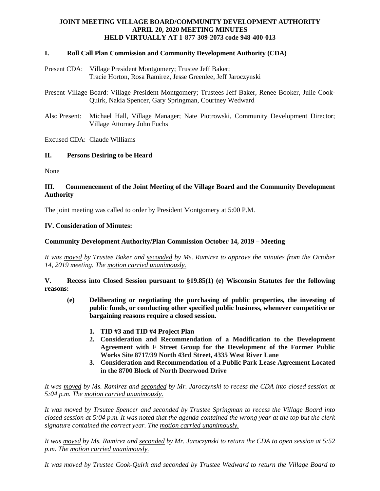# **JOINT MEETING VILLAGE BOARD/COMMUNITY DEVELOPMENT AUTHORITY APRIL 20, 2020 MEETING MINUTES HELD VIRTUALLY AT 1-877-309-2073 code 948-400-013**

### **I. Roll Call Plan Commission and Community Development Authority (CDA)**

- Present CDA: Village President Montgomery; Trustee Jeff Baker; Tracie Horton, Rosa Ramirez, Jesse Greenlee, Jeff Jaroczynski
- Present Village Board: Village President Montgomery; Trustees Jeff Baker, Renee Booker, Julie Cook-Quirk, Nakia Spencer, Gary Springman, Courtney Wedward
- Also Present: Michael Hall, Village Manager; Nate Piotrowski, Community Development Director; Village Attorney John Fuchs

Excused CDA: Claude Williams

### **II. Persons Desiring to be Heard**

None

## **III. Commencement of the Joint Meeting of the Village Board and the Community Development Authority**

The joint meeting was called to order by President Montgomery at 5:00 P.M.

### **IV. Consideration of Minutes:**

### **Community Development Authority/Plan Commission October 14, 2019 – Meeting**

*It was moved by Trustee Baker and seconded by Ms. Ramirez to approve the minutes from the October 14, 2019 meeting. The motion carried unanimously.*

**V. Recess into Closed Session pursuant to §19.85(1) (e) Wisconsin Statutes for the following reasons:**

- **(e) Deliberating or negotiating the purchasing of public properties, the investing of public funds, or conducting other specified public business, whenever competitive or bargaining reasons require a closed session.**
	- **1. TID #3 and TID #4 Project Plan**
	- **2. Consideration and Recommendation of a Modification to the Development Agreement with F Street Group for the Development of the Former Public Works Site 8717/39 North 43rd Street, 4335 West River Lane**
	- **3. Consideration and Recommendation of a Public Park Lease Agreement Located in the 8700 Block of North Deerwood Drive**

## *It was moved by Ms. Ramirez and seconded by Mr. Jaroczynski to recess the CDA into closed session at 5:04 p.m. The motion carried unanimously.*

*It was moved by Trsutee Spencer and seconded by Trustee Springman to recess the Village Board into closed session at 5:04 p.m. It was noted that the agenda contained the wrong year at the top but the clerk signature contained the correct year. The motion carried unanimously.*

*It was moved by Ms. Ramirez and seconded by Mr. Jaroczynski to return the CDA to open session at 5:52 p.m. The motion carried unanimously.*

*It was moved by Trustee Cook-Quirk and seconded by Trustee Wedward to return the Village Board to*